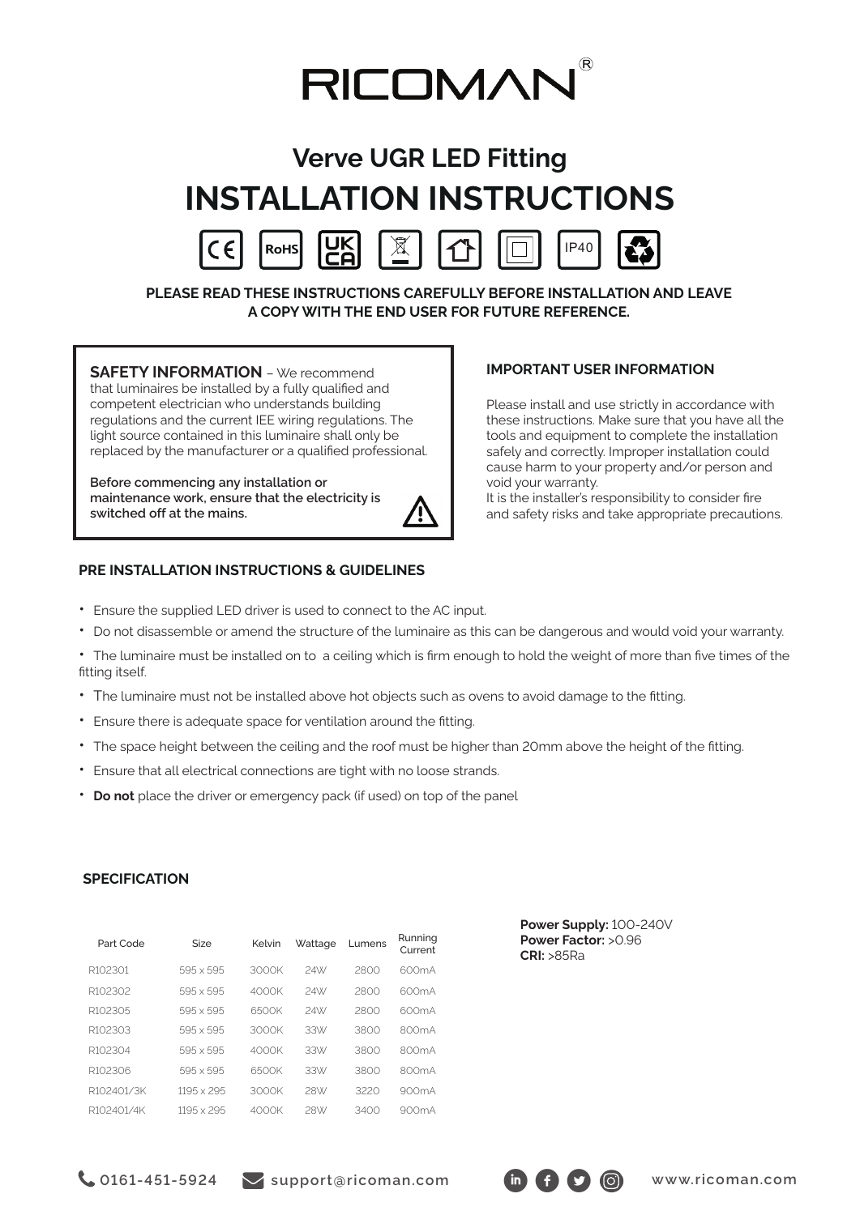

# **Verve UGR LED Fitting INSTALLATION INSTRUCTIONS**



**PLEASE READ THESE INSTRUCTIONS CAREFULLY BEFORE INSTALLATION AND LEAVE A COPY WITH THE END USER FOR FUTURE REFERENCE.**

**SAFETY INFORMATION** – We recommend that luminaires be installed by a fully qualified and competent electrician who understands building regulations and the current IEE wiring regulations. The light source contained in this luminaire shall only be replaced by the manufacturer or a qualified professional.

**Before commencing any installation or maintenance work, ensure that the electricity is switched off at the mains.** 



## **IMPORTANT USER INFORMATION**

Please install and use strictly in accordance with these instructions. Make sure that you have all the tools and equipment to complete the installation safely and correctly. Improper installation could cause harm to your property and/or person and void your warranty.

It is the installer's responsibility to consider fire and safety risks and take appropriate precautions.

## **PRE INSTALLATION INSTRUCTIONS & GUIDELINES**

- Ensure the supplied LED driver is used to connect to the AC input.
- Do not disassemble or amend the structure of the luminaire as this can be dangerous and would void your warranty.

• The luminaire must be installed on to a ceiling which is firm enough to hold the weight of more than five times of the fitting itself.

- The luminaire must not be installed above hot objects such as ovens to avoid damage to the fitting.
- Ensure there is adequate space for ventilation around the fitting.
- The space height between the ceiling and the roof must be higher than 20mm above the height of the fitting.
- Ensure that all electrical connections are tight with no loose strands.
- **Do not** place the driver or emergency pack (if used) on top of the panel

## **SPECIFICATION**

| Part Code  | Size             | Kelvin | Wattage | Lumens | Running<br>Current |
|------------|------------------|--------|---------|--------|--------------------|
| R102301    | 595 x 595        | 3000K  | 24W     | 2800   | 600mA              |
| R102302    | $595 \times 595$ | 4000K  | 24W     | 2800   | 600mA              |
| R102305    | $595 \times 595$ | 6500K  | 24\X/   | 2800   | 600mA              |
| R102303    | $595 \times 595$ | 3000K  | 33V/    | 3800   | 800mA              |
| R102304    | $595 \times 595$ | 4000K  | 33W     | 3800   | 800mA              |
| R102306    | 595 x 595        | 6500K  | 33V/    | 3800   | 800mA              |
| R102401/3K | 1195 x 295       | 3000K  | 28W     | 3220   | 900mA              |
| R102401/4K | 1195 x 295       | 4000K  | 28W     | 3400   | 900mA              |

**Power Supply:** 100-240V **Power Factor:** >0.96 **CRI:** >85Ra

**Col61-451-5924** Support@ricoman.com in formal www.ricoman.com